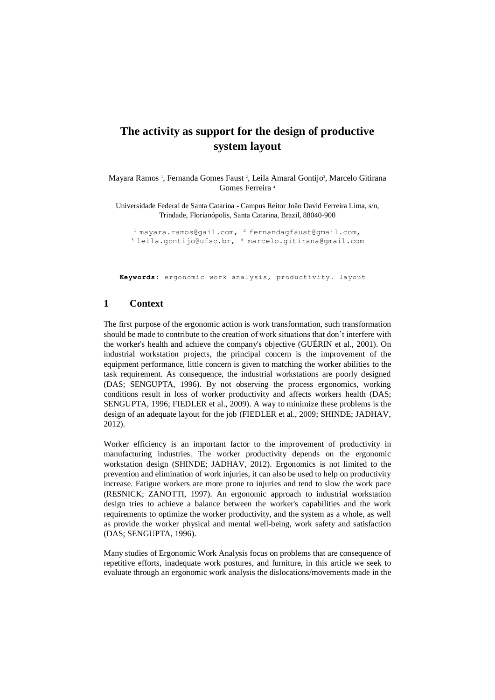# **The activity as support for the design of productive system layout**

Mayara Ramos<sup>1</sup>, Fernanda Gomes Faust<sup>2</sup>, Leila Amaral Gontijo<sup>3</sup>, Marcelo Gitirana Gomes Ferreira <sup>4</sup>

Universidade Federal de Santa Catarina - Campus Reitor João David Ferreira Lima, s/n, Trindade, Florianópolis, Santa Catarina, Brazil, 88040-900

 $1$  mayara.ramos@gail.com,  $2$  [fe](mailto:2email%20author%202)rnandagfaust@gmail.com, <sup>3</sup>[leila.gontijo@ufsc.br,](mailto:beto.lucena@affero.com.br) <sup>4</sup> marcelo.gitirana@gmail.com

Keywords: ergonomic work analysis, productivity. layout

#### **1 Context**

The first purpose of the ergonomic action is work transformation, such transformation should be made to contribute to the creation of work situations that don't interfere with the worker's health and achieve the company's objective (GUÉRIN et al., 2001). On industrial workstation projects, the principal concern is the improvement of the equipment performance, little concern is given to matching the worker abilities to the task requirement. As consequence, the industrial workstations are poorly designed (DAS; SENGUPTA, 1996). By not observing the process ergonomics, working conditions result in loss of worker productivity and affects workers health (DAS; SENGUPTA, 1996; FIEDLER et al., 2009). A way to minimize these problems is the design of an adequate layout for the job (FIEDLER et al., 2009; SHINDE; JADHAV, 2012).

Worker efficiency is an important factor to the improvement of productivity in manufacturing industries. The worker productivity depends on the ergonomic workstation design (SHINDE; JADHAV, 2012). Ergonomics is not limited to the prevention and elimination of work injuries, it can also be used to help on productivity increase. Fatigue workers are more prone to injuries and tend to slow the work pace (RESNICK; ZANOTTI, 1997). An ergonomic approach to industrial workstation design tries to achieve a balance between the worker's capabilities and the work requirements to optimize the worker productivity, and the system as a whole, as well as provide the worker physical and mental well-being, work safety and satisfaction (DAS; SENGUPTA, 1996).

Many studies of Ergonomic Work Analysis focus on problems that are consequence of repetitive efforts, inadequate work postures, and furniture, in this article we seek to evaluate through an ergonomic work analysis the dislocations/movements made in the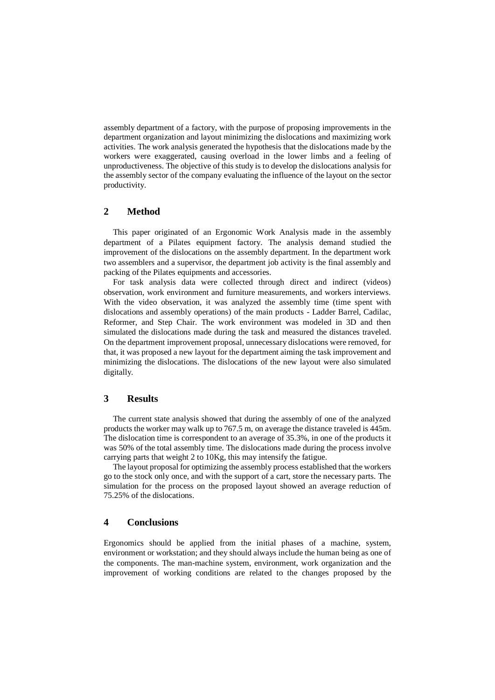assembly department of a factory, with the purpose of proposing improvements in the department organization and layout minimizing the dislocations and maximizing work activities. The work analysis generated the hypothesis that the dislocations made by the workers were exaggerated, causing overload in the lower limbs and a feeling of unproductiveness. The objective of this study is to develop the dislocations analysis for the assembly sector of the company evaluating the influence of the layout on the sector productivity.

## **2 Method**

This paper originated of an Ergonomic Work Analysis made in the assembly department of a Pilates equipment factory. The analysis demand studied the improvement of the dislocations on the assembly department. In the department work two assemblers and a supervisor, the department job activity is the final assembly and packing of the Pilates equipments and accessories.

For task analysis data were collected through direct and indirect (videos) observation, work environment and furniture measurements, and workers interviews. With the video observation, it was analyzed the assembly time (time spent with dislocations and assembly operations) of the main products - Ladder Barrel, Cadilac, Reformer, and Step Chair. The work environment was modeled in 3D and then simulated the dislocations made during the task and measured the distances traveled. On the department improvement proposal, unnecessary dislocations were removed, for that, it was proposed a new layout for the department aiming the task improvement and minimizing the dislocations. The dislocations of the new layout were also simulated digitally.

## **3 Results**

The current state analysis showed that during the assembly of one of the analyzed products the worker may walk up to 767.5 m, on average the distance traveled is 445m. The dislocation time is correspondent to an average of 35.3%, in one of the products it was 50% of the total assembly time. The dislocations made during the process involve carrying parts that weight 2 to 10Kg, this may intensify the fatigue.

The layout proposal for optimizing the assembly process established that the workers go to the stock only once, and with the support of a cart, store the necessary parts. The simulation for the process on the proposed layout showed an average reduction of 75.25% of the dislocations.

#### **4 Conclusions**

Ergonomics should be applied from the initial phases of a machine, system, environment or workstation; and they should always include the human being as one of the components. The man-machine system, environment, work organization and the improvement of working conditions are related to the changes proposed by the